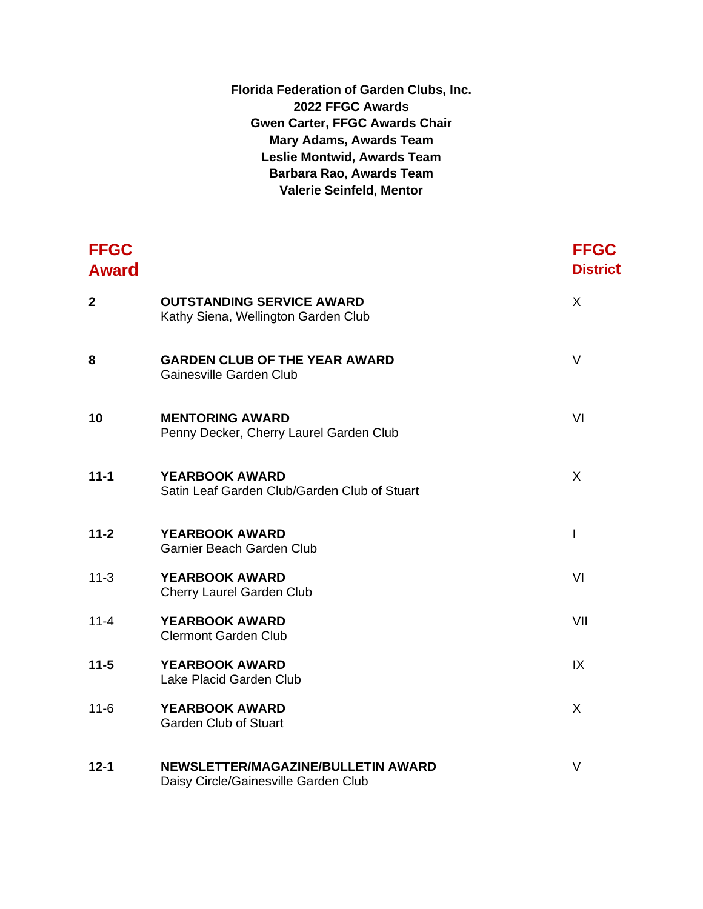| Florida Federation of Garden Clubs, Inc. |
|------------------------------------------|
| 2022 FFGC Awards                         |
| <b>Gwen Carter, FFGC Awards Chair</b>    |
| <b>Mary Adams, Awards Team</b>           |
| <b>Leslie Montwid, Awards Team</b>       |
| <b>Barbara Rao, Awards Team</b>          |
| <b>Valerie Seinfeld, Mentor</b>          |

| <b>FFGC</b><br><b>Award</b> |                                                                            | <b>FFGC</b><br><b>District</b> |
|-----------------------------|----------------------------------------------------------------------------|--------------------------------|
| $\overline{2}$              | <b>OUTSTANDING SERVICE AWARD</b><br>Kathy Siena, Wellington Garden Club    | X                              |
| 8                           | <b>GARDEN CLUB OF THE YEAR AWARD</b><br>Gainesville Garden Club            | V                              |
| 10                          | <b>MENTORING AWARD</b><br>Penny Decker, Cherry Laurel Garden Club          | VI                             |
| $11 - 1$                    | <b>YEARBOOK AWARD</b><br>Satin Leaf Garden Club/Garden Club of Stuart      | X                              |
| $11 - 2$                    | <b>YEARBOOK AWARD</b><br>Garnier Beach Garden Club                         | $\overline{1}$                 |
| $11 - 3$                    | <b>YEARBOOK AWARD</b><br>Cherry Laurel Garden Club                         | VI                             |
| $11 - 4$                    | YEARBOOK AWARD<br><b>Clermont Garden Club</b>                              | VII                            |
| $11 - 5$                    | <b>YEARBOOK AWARD</b><br>Lake Placid Garden Club                           | IX                             |
| $11 - 6$                    | <b>YEARBOOK AWARD</b><br><b>Garden Club of Stuart</b>                      | X                              |
| $12 - 1$                    | NEWSLETTER/MAGAZINE/BULLETIN AWARD<br>Daisy Circle/Gainesville Garden Club | $\vee$                         |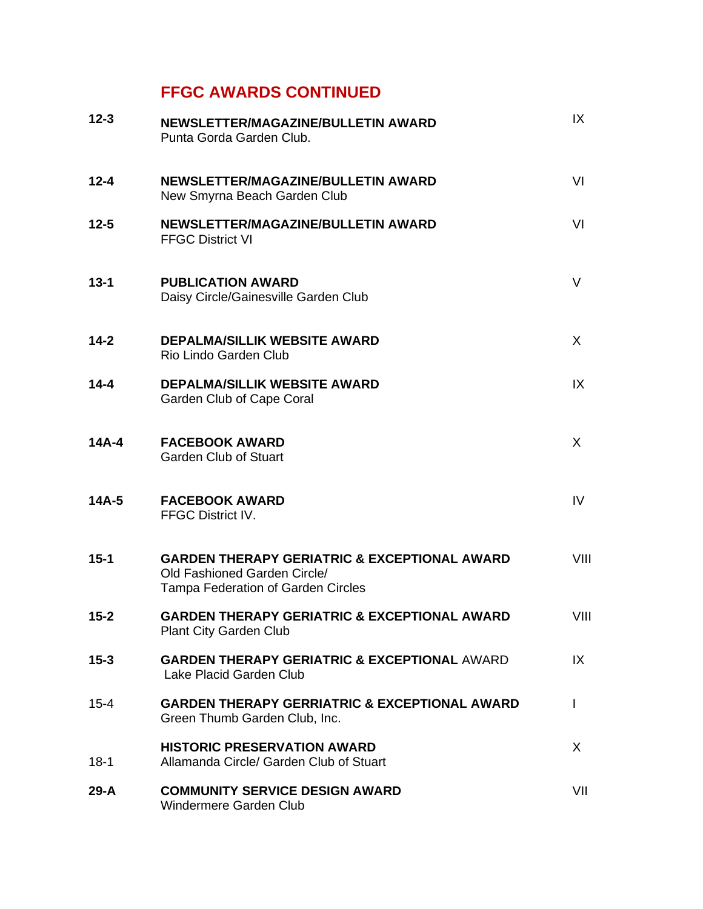| $12 - 3$ | NEWSLETTER/MAGAZINE/BULLETIN AWARD<br>Punta Gorda Garden Club.                                                                       | IX   |
|----------|--------------------------------------------------------------------------------------------------------------------------------------|------|
| $12 - 4$ | NEWSLETTER/MAGAZINE/BULLETIN AWARD<br>New Smyrna Beach Garden Club                                                                   | VI   |
| $12 - 5$ | NEWSLETTER/MAGAZINE/BULLETIN AWARD<br><b>FFGC District VI</b>                                                                        | VI   |
| $13 - 1$ | <b>PUBLICATION AWARD</b><br>Daisy Circle/Gainesville Garden Club                                                                     | V    |
| $14-2$   | <b>DEPALMA/SILLIK WEBSITE AWARD</b><br>Rio Lindo Garden Club                                                                         | X    |
| $14 - 4$ | <b>DEPALMA/SILLIK WEBSITE AWARD</b><br>Garden Club of Cape Coral                                                                     | IX   |
| $14A-4$  | <b>FACEBOOK AWARD</b><br><b>Garden Club of Stuart</b>                                                                                | X    |
| $14A-5$  | <b>FACEBOOK AWARD</b><br>FFGC District IV.                                                                                           | IV   |
| $15 - 1$ | <b>GARDEN THERAPY GERIATRIC &amp; EXCEPTIONAL AWARD</b><br>Old Fashioned Garden Circle/<br><b>Tampa Federation of Garden Circles</b> | VIII |
| $15 - 2$ | <b>GARDEN THERAPY GERIATRIC &amp; EXCEPTIONAL AWARD</b><br><b>Plant City Garden Club</b>                                             | VIII |
| $15 - 3$ | <b>GARDEN THERAPY GERIATRIC &amp; EXCEPTIONAL AWARD</b><br>Lake Placid Garden Club                                                   | IX   |
| $15 - 4$ | <b>GARDEN THERAPY GERRIATRIC &amp; EXCEPTIONAL AWARD</b><br>Green Thumb Garden Club, Inc.                                            | L    |
| $18 - 1$ | <b>HISTORIC PRESERVATION AWARD</b><br>Allamanda Circle/ Garden Club of Stuart                                                        | X.   |
| 29-A     | <b>COMMUNITY SERVICE DESIGN AWARD</b><br>Windermere Garden Club                                                                      | VII  |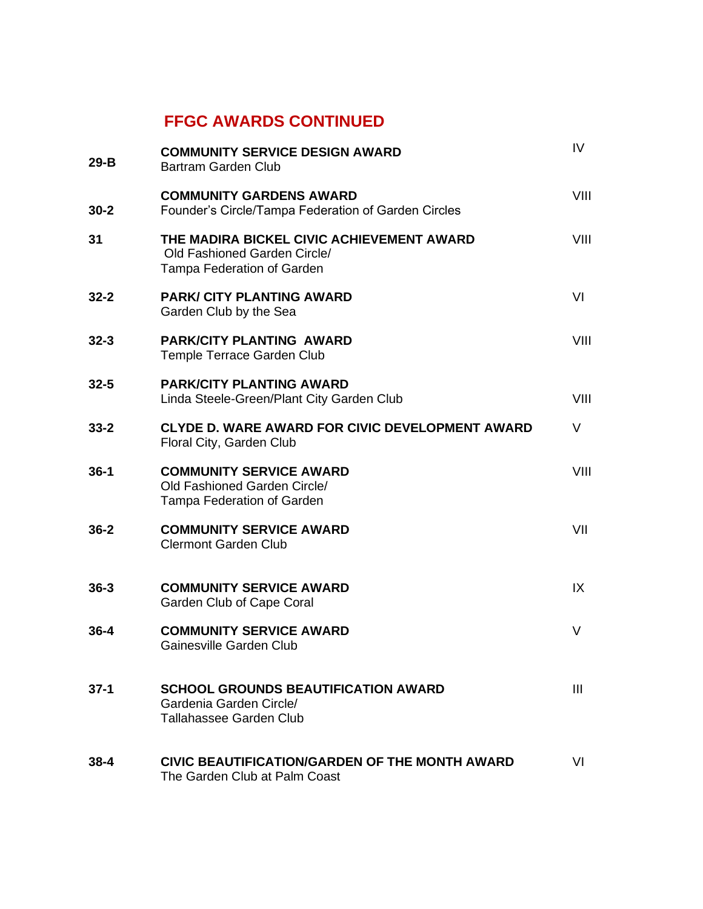| $29-B$   | <b>COMMUNITY SERVICE DESIGN AWARD</b><br>Bartram Garden Club                                                   | IV             |
|----------|----------------------------------------------------------------------------------------------------------------|----------------|
| $30 - 2$ | <b>COMMUNITY GARDENS AWARD</b><br>Founder's Circle/Tampa Federation of Garden Circles                          | VIII           |
| 31       | THE MADIRA BICKEL CIVIC ACHIEVEMENT AWARD<br>Old Fashioned Garden Circle/<br><b>Tampa Federation of Garden</b> | VIII           |
| $32 - 2$ | <b>PARK/ CITY PLANTING AWARD</b><br>Garden Club by the Sea                                                     | VI             |
| $32 - 3$ | <b>PARK/CITY PLANTING AWARD</b><br>Temple Terrace Garden Club                                                  | VIII           |
| $32 - 5$ | <b>PARK/CITY PLANTING AWARD</b><br>Linda Steele-Green/Plant City Garden Club                                   | VIII           |
| $33 - 2$ | CLYDE D. WARE AWARD FOR CIVIC DEVELOPMENT AWARD<br>Floral City, Garden Club                                    | V              |
| $36-1$   | <b>COMMUNITY SERVICE AWARD</b><br>Old Fashioned Garden Circle/<br>Tampa Federation of Garden                   | VIII           |
| $36 - 2$ | <b>COMMUNITY SERVICE AWARD</b><br><b>Clermont Garden Club</b>                                                  | VII            |
| $36 - 3$ | <b>COMMUNITY SERVICE AWARD</b><br>Garden Club of Cape Coral                                                    | IX             |
| $36 - 4$ | <b>COMMUNITY SERVICE AWARD</b><br>Gainesville Garden Club                                                      | V              |
| $37-1$   | <b>SCHOOL GROUNDS BEAUTIFICATION AWARD</b><br>Gardenia Garden Circle/<br><b>Tallahassee Garden Club</b>        | $\mathbf{III}$ |
| $38 - 4$ | CIVIC BEAUTIFICATION/GARDEN OF THE MONTH AWARD<br>The Garden Club at Palm Coast                                | VI             |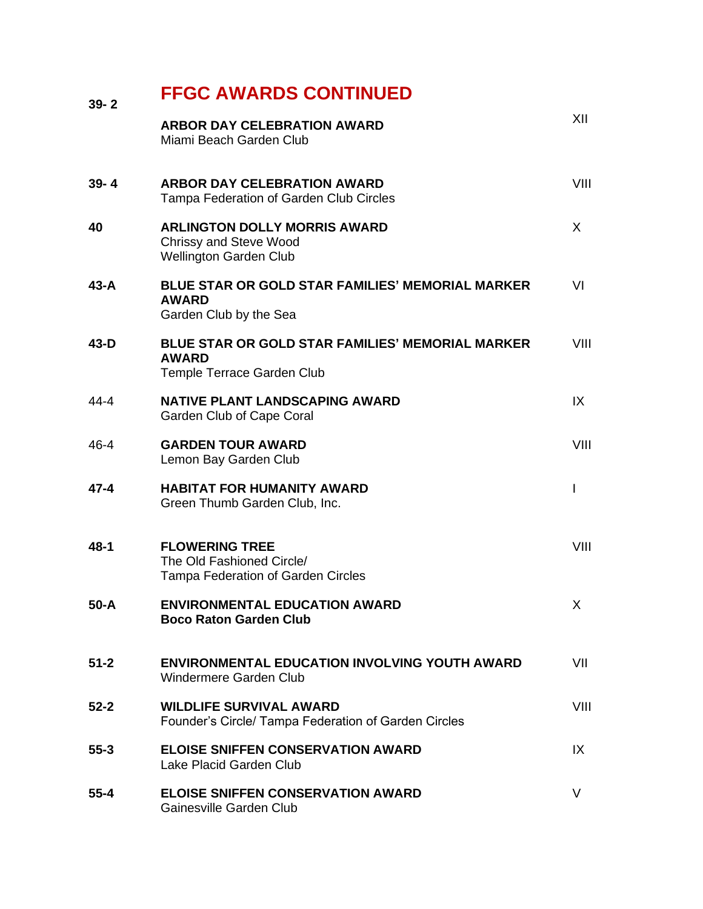| $39 - 2$ | <b>FFGC AWARDS CONTINUED</b>                                                                          |              |
|----------|-------------------------------------------------------------------------------------------------------|--------------|
|          | <b>ARBOR DAY CELEBRATION AWARD</b><br>Miami Beach Garden Club                                         | XII          |
| $39 - 4$ | <b>ARBOR DAY CELEBRATION AWARD</b><br>Tampa Federation of Garden Club Circles                         | VIII         |
| 40       | <b>ARLINGTON DOLLY MORRIS AWARD</b><br><b>Chrissy and Steve Wood</b><br><b>Wellington Garden Club</b> | X            |
| $43 - A$ | <b>BLUE STAR OR GOLD STAR FAMILIES' MEMORIAL MARKER</b><br><b>AWARD</b><br>Garden Club by the Sea     | VI           |
| $43-D$   | <b>BLUE STAR OR GOLD STAR FAMILIES' MEMORIAL MARKER</b><br><b>AWARD</b><br>Temple Terrace Garden Club | VIII         |
| 44-4     | <b>NATIVE PLANT LANDSCAPING AWARD</b><br>Garden Club of Cape Coral                                    | IX           |
| $46 - 4$ | <b>GARDEN TOUR AWARD</b><br>Lemon Bay Garden Club                                                     | VIII         |
| $47 - 4$ | <b>HABITAT FOR HUMANITY AWARD</b><br>Green Thumb Garden Club, Inc.                                    | $\mathsf{I}$ |
| $48 - 1$ | <b>FLOWERING TREE</b><br>The Old Fashioned Circle/<br><b>Tampa Federation of Garden Circles</b>       | VIII         |
| $50 - A$ | <b>ENVIRONMENTAL EDUCATION AWARD</b><br><b>Boco Raton Garden Club</b>                                 | $\mathsf{X}$ |
| $51 - 2$ | ENVIRONMENTAL EDUCATION INVOLVING YOUTH AWARD<br>Windermere Garden Club                               | VII          |
| $52 - 2$ | <b>WILDLIFE SURVIVAL AWARD</b><br>Founder's Circle/ Tampa Federation of Garden Circles                | VIII         |
| $55 - 3$ | <b>ELOISE SNIFFEN CONSERVATION AWARD</b><br>Lake Placid Garden Club                                   | IX           |
| $55 - 4$ | <b>ELOISE SNIFFEN CONSERVATION AWARD</b><br>Gainesville Garden Club                                   | V            |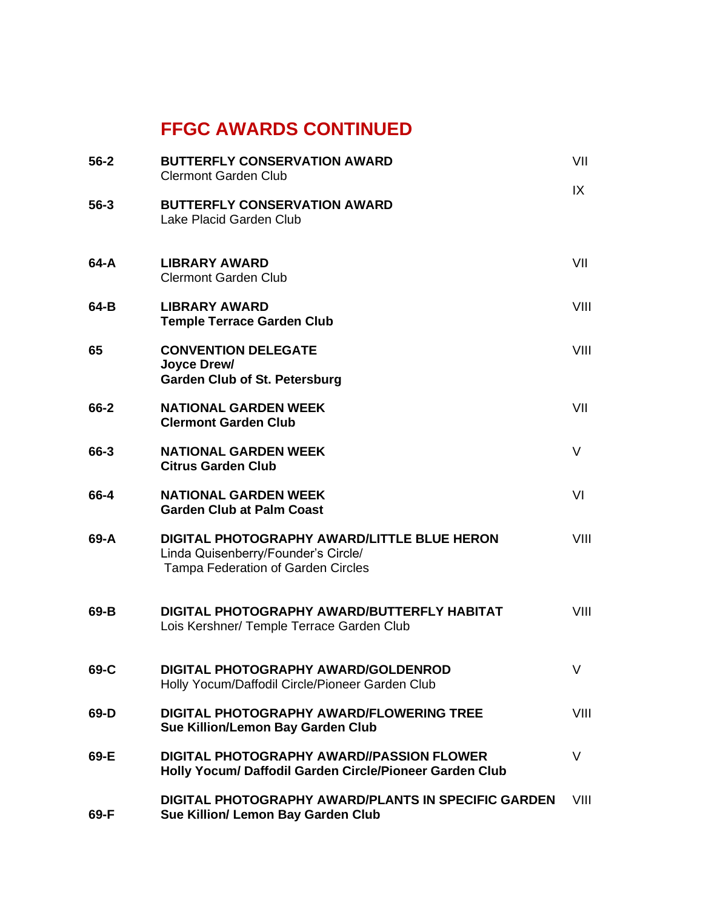| $56 - 2$ | <b>BUTTERFLY CONSERVATION AWARD</b><br><b>Clermont Garden Club</b>                                                       | VII    |
|----------|--------------------------------------------------------------------------------------------------------------------------|--------|
| $56 - 3$ | <b>BUTTERFLY CONSERVATION AWARD</b><br>Lake Placid Garden Club                                                           | IX     |
| $64 - A$ | <b>LIBRARY AWARD</b><br><b>Clermont Garden Club</b>                                                                      | VII    |
| 64-B     | <b>LIBRARY AWARD</b><br><b>Temple Terrace Garden Club</b>                                                                | VIII   |
| 65       | <b>CONVENTION DELEGATE</b><br>Joyce Drew/<br><b>Garden Club of St. Petersburg</b>                                        | VIII   |
| 66-2     | <b>NATIONAL GARDEN WEEK</b><br><b>Clermont Garden Club</b>                                                               | VII    |
| 66-3     | <b>NATIONAL GARDEN WEEK</b><br><b>Citrus Garden Club</b>                                                                 | $\vee$ |
| 66-4     | <b>NATIONAL GARDEN WEEK</b><br><b>Garden Club at Palm Coast</b>                                                          | VI     |
| 69-A     | DIGITAL PHOTOGRAPHY AWARD/LITTLE BLUE HERON<br>Linda Quisenberry/Founder's Circle/<br>Tampa Federation of Garden Circles | VIII   |
| $69 - B$ | DIGITAL PHOTOGRAPHY AWARD/BUTTERFLY HABITAT<br>Lois Kershner/ Temple Terrace Garden Club                                 | VIII   |
| 69-C     | <b>DIGITAL PHOTOGRAPHY AWARD/GOLDENROD</b><br>Holly Yocum/Daffodil Circle/Pioneer Garden Club                            | V      |
| 69-D     | <b>DIGITAL PHOTOGRAPHY AWARD/FLOWERING TREE</b><br>Sue Killion/Lemon Bay Garden Club                                     | VIII   |
| 69-E     | <b>DIGITAL PHOTOGRAPHY AWARD//PASSION FLOWER</b><br>Holly Yocum/ Daffodil Garden Circle/Pioneer Garden Club              | V      |
| 69-F     | DIGITAL PHOTOGRAPHY AWARD/PLANTS IN SPECIFIC GARDEN<br>Sue Killion/ Lemon Bay Garden Club                                | VIII   |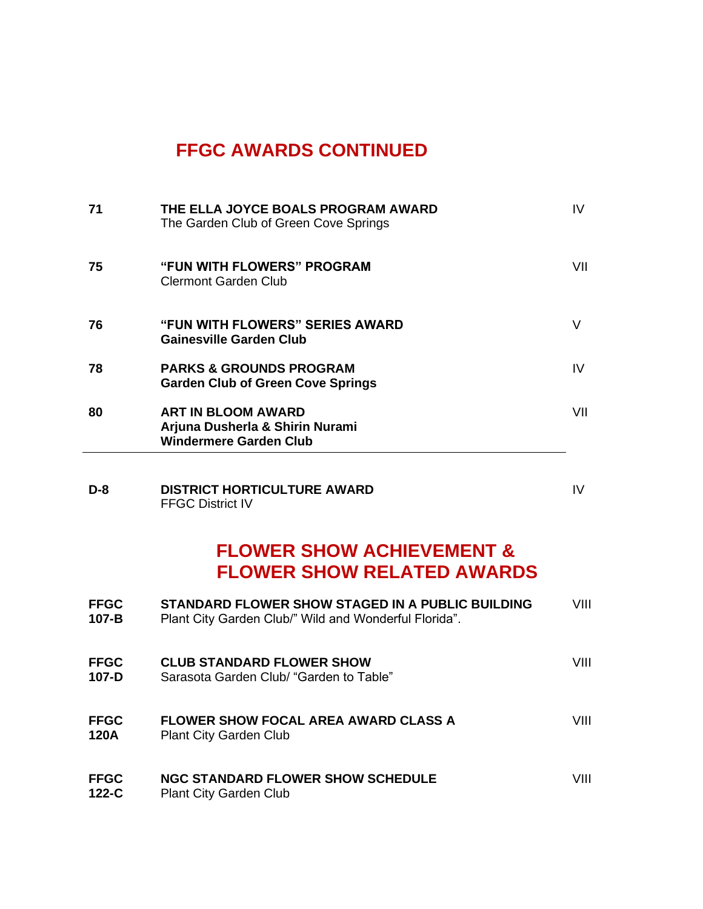| 71 | THE ELLA JOYCE BOALS PROGRAM AWARD<br>The Garden Club of Green Cove Springs                   | IV  |
|----|-----------------------------------------------------------------------------------------------|-----|
| 75 | <b>"FUN WITH FLOWERS" PROGRAM</b><br>Clermont Garden Club                                     | VII |
| 76 | <b>"FUN WITH FLOWERS" SERIES AWARD</b><br>Gainesville Garden Club                             | V   |
| 78 | <b>PARKS &amp; GROUNDS PROGRAM</b><br><b>Garden Club of Green Cove Springs</b>                | IV  |
| 80 | <b>ART IN BLOOM AWARD</b><br>Arjuna Dusherla & Shirin Nurami<br><b>Windermere Garden Club</b> | VII |

**D-8 DISTRICT HORTICULTURE AWARD IV** IV FFGC District IV

### **FLOWER SHOW ACHIEVEMENT & FLOWER SHOW RELATED AWARDS**

| <b>FFGC</b><br>107-B       | STANDARD FLOWER SHOW STAGED IN A PUBLIC BUILDING<br>Plant City Garden Club/" Wild and Wonderful Florida". | VIII |
|----------------------------|-----------------------------------------------------------------------------------------------------------|------|
| <b>FFGC</b><br>107-D       | <b>CLUB STANDARD FLOWER SHOW</b><br>Sarasota Garden Club/ "Garden to Table"                               | VIII |
| <b>FFGC</b><br><b>120A</b> | <b>FLOWER SHOW FOCAL AREA AWARD CLASS A</b><br>Plant City Garden Club                                     | VIII |
| <b>FFGC</b><br>$122-C$     | <b>NGC STANDARD FLOWER SHOW SCHEDULE</b><br><b>Plant City Garden Club</b>                                 | VIII |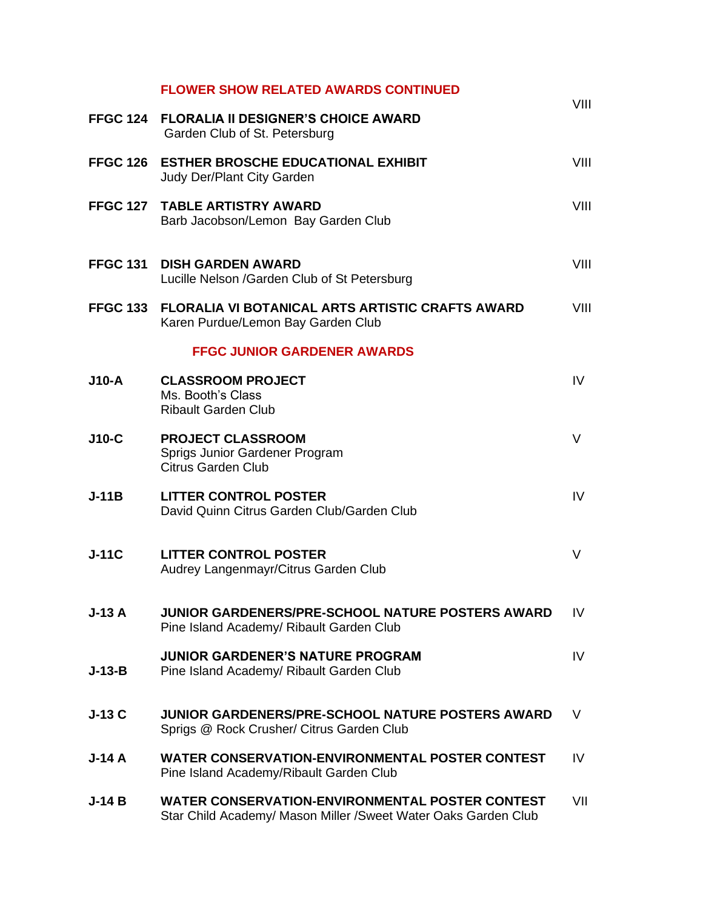|          | <b>FLOWER SHOW RELATED AWARDS CONTINUED</b>                                                                               | VIII |
|----------|---------------------------------------------------------------------------------------------------------------------------|------|
|          | FFGC 124 FLORALIA II DESIGNER'S CHOICE AWARD<br>Garden Club of St. Petersburg                                             |      |
|          | FFGC 126 ESTHER BROSCHE EDUCATIONAL EXHIBIT<br><b>Judy Der/Plant City Garden</b>                                          | VIII |
|          | FFGC 127 TABLE ARTISTRY AWARD<br>Barb Jacobson/Lemon Bay Garden Club                                                      | VIII |
|          | <b>FFGC 131 DISH GARDEN AWARD</b><br>Lucille Nelson /Garden Club of St Petersburg                                         | VIII |
|          | FFGC 133 FLORALIA VI BOTANICAL ARTS ARTISTIC CRAFTS AWARD<br>Karen Purdue/Lemon Bay Garden Club                           | VIII |
|          | <b>FFGC JUNIOR GARDENER AWARDS</b>                                                                                        |      |
| $J10-A$  | <b>CLASSROOM PROJECT</b><br>Ms. Booth's Class<br><b>Ribault Garden Club</b>                                               | IV.  |
| $J10-C$  | <b>PROJECT CLASSROOM</b><br>Sprigs Junior Gardener Program<br><b>Citrus Garden Club</b>                                   | V    |
| $J-11B$  | <b>LITTER CONTROL POSTER</b><br>David Quinn Citrus Garden Club/Garden Club                                                | IV   |
| $J-11C$  | <b>LITTER CONTROL POSTER</b><br>Audrey Langenmayr/Citrus Garden Club                                                      | V    |
| $J-13A$  | <b>JUNIOR GARDENERS/PRE-SCHOOL NATURE POSTERS AWARD</b><br>Pine Island Academy/ Ribault Garden Club                       | IV   |
| $J-13-B$ | <b>JUNIOR GARDENER'S NATURE PROGRAM</b><br>Pine Island Academy/ Ribault Garden Club                                       | IV   |
| $J-13C$  | <b>JUNIOR GARDENERS/PRE-SCHOOL NATURE POSTERS AWARD</b><br>Sprigs @ Rock Crusher/ Citrus Garden Club                      | V    |
| $J-14A$  | <b>WATER CONSERVATION-ENVIRONMENTAL POSTER CONTEST</b><br>Pine Island Academy/Ribault Garden Club                         | IV   |
| $J-14B$  | <b>WATER CONSERVATION-ENVIRONMENTAL POSTER CONTEST</b><br>Star Child Academy/ Mason Miller / Sweet Water Oaks Garden Club | VII  |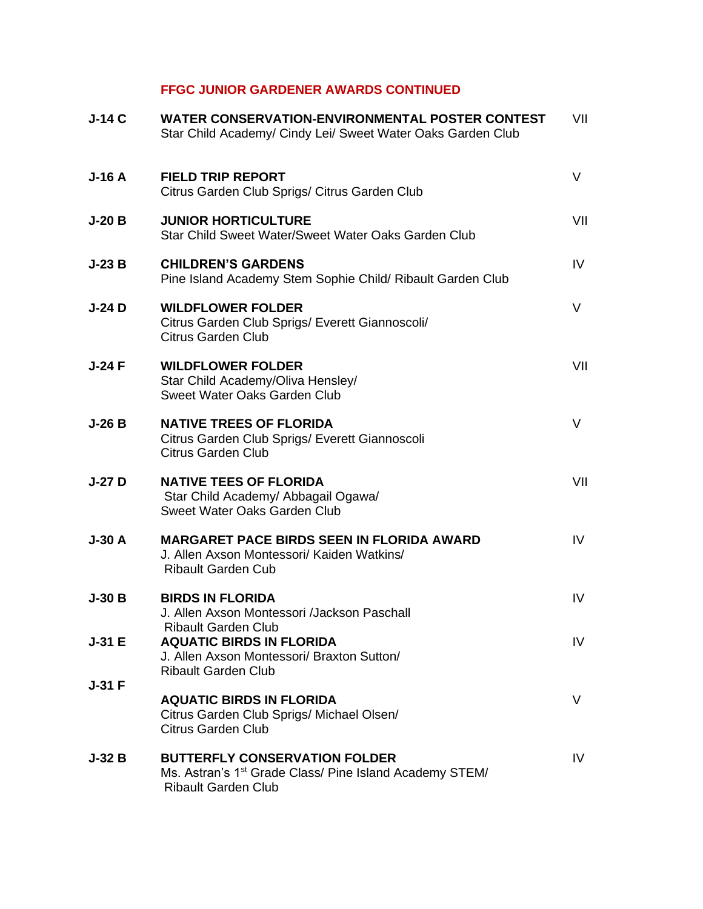### **FFGC JUNIOR GARDENER AWARDS CONTINUED**

| $J-14C$  | <b>WATER CONSERVATION-ENVIRONMENTAL POSTER CONTEST</b><br>Star Child Academy/ Cindy Lei/ Sweet Water Oaks Garden Club                     | VII |
|----------|-------------------------------------------------------------------------------------------------------------------------------------------|-----|
| $J-16A$  | <b>FIELD TRIP REPORT</b><br>Citrus Garden Club Sprigs/ Citrus Garden Club                                                                 | V   |
| $J-20B$  | <b>JUNIOR HORTICULTURE</b><br>Star Child Sweet Water/Sweet Water Oaks Garden Club                                                         | VII |
| $J-23B$  | <b>CHILDREN'S GARDENS</b><br>Pine Island Academy Stem Sophie Child/ Ribault Garden Club                                                   | IV  |
| $J-24$ D | <b>WILDFLOWER FOLDER</b><br>Citrus Garden Club Sprigs/ Everett Giannoscoli/<br><b>Citrus Garden Club</b>                                  | V   |
| $J-24F$  | <b>WILDFLOWER FOLDER</b><br>Star Child Academy/Oliva Hensley/<br>Sweet Water Oaks Garden Club                                             | VII |
| $J-26B$  | <b>NATIVE TREES OF FLORIDA</b><br>Citrus Garden Club Sprigs/ Everett Giannoscoli<br><b>Citrus Garden Club</b>                             | V   |
| $J-27D$  | <b>NATIVE TEES OF FLORIDA</b><br>Star Child Academy/ Abbagail Ogawa/<br>Sweet Water Oaks Garden Club                                      | VII |
| $J-30A$  | <b>MARGARET PACE BIRDS SEEN IN FLORIDA AWARD</b><br>J. Allen Axson Montessori/ Kaiden Watkins/<br><b>Ribault Garden Cub</b>               | IV  |
| $J-30B$  | <b>BIRDS IN FLORIDA</b><br>J. Allen Axson Montessori /Jackson Paschall                                                                    | IV. |
| $J-31 E$ | Ribault Garden Club<br><b>AQUATIC BIRDS IN FLORIDA</b><br>J. Allen Axson Montessori/ Braxton Sutton/<br><b>Ribault Garden Club</b>        | IV. |
| $J-31$ F | <b>AQUATIC BIRDS IN FLORIDA</b><br>Citrus Garden Club Sprigs/ Michael Olsen/<br><b>Citrus Garden Club</b>                                 | V   |
| $J-32B$  | <b>BUTTERFLY CONSERVATION FOLDER</b><br>Ms. Astran's 1 <sup>st</sup> Grade Class/ Pine Island Academy STEM/<br><b>Ribault Garden Club</b> | IV. |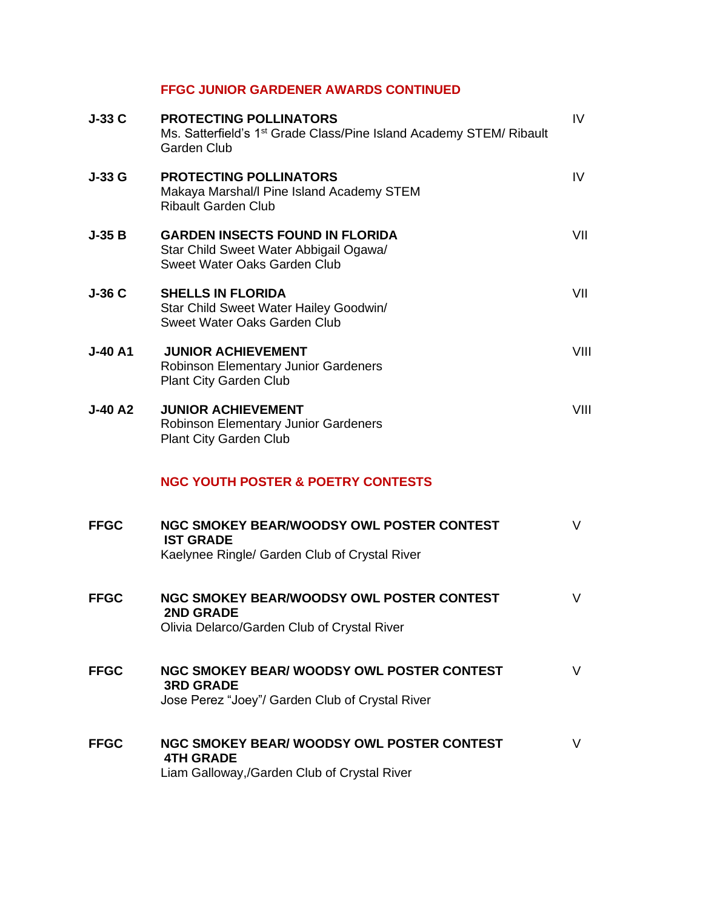### **FFGC JUNIOR GARDENER AWARDS CONTINUED**

| $J-33C$        | <b>PROTECTING POLLINATORS</b><br>Ms. Satterfield's 1 <sup>st</sup> Grade Class/Pine Island Academy STEM/ Ribault<br><b>Garden Club</b> | IV.  |
|----------------|----------------------------------------------------------------------------------------------------------------------------------------|------|
| $J-33G$        | <b>PROTECTING POLLINATORS</b><br>Makaya Marshal/I Pine Island Academy STEM<br><b>Ribault Garden Club</b>                               | IV   |
| $J-35B$        | <b>GARDEN INSECTS FOUND IN FLORIDA</b><br>Star Child Sweet Water Abbigail Ogawa/<br>Sweet Water Oaks Garden Club                       | VII  |
| $J-36C$        | <b>SHELLS IN FLORIDA</b><br>Star Child Sweet Water Hailey Goodwin/<br>Sweet Water Oaks Garden Club                                     | VII  |
| <b>J-40 A1</b> | <b>JUNIOR ACHIEVEMENT</b><br><b>Robinson Elementary Junior Gardeners</b><br>Plant City Garden Club                                     | VIII |
| <b>J-40 A2</b> | <b>JUNIOR ACHIEVEMENT</b><br>Robinson Elementary Junior Gardeners<br>Plant City Garden Club                                            | VIII |
|                | <b>NGC YOUTH POSTER &amp; POETRY CONTESTS</b>                                                                                          |      |
| <b>FFGC</b>    | NGC SMOKEY BEAR/WOODSY OWL POSTER CONTEST<br><b>IST GRADE</b><br>Kaelynee Ringle/ Garden Club of Crystal River                         | V    |
| <b>FFGC</b>    | NGC SMOKEY BEAR/WOODSY OWL POSTER CONTEST<br><b>2ND GRADE</b><br>Olivia Delarco/Garden Club of Crystal River                           | V    |
| <b>FFGC</b>    | NGC SMOKEY BEAR/ WOODSY OWL POSTER CONTEST<br><b>3RD GRADE</b><br>Jose Perez "Joey"/ Garden Club of Crystal River                      | V    |
| <b>FFGC</b>    | <b>NGC SMOKEY BEAR/ WOODSY OWL POSTER CONTEST</b><br><b>4TH GRADE</b><br>Liam Galloway,/Garden Club of Crystal River                   | V    |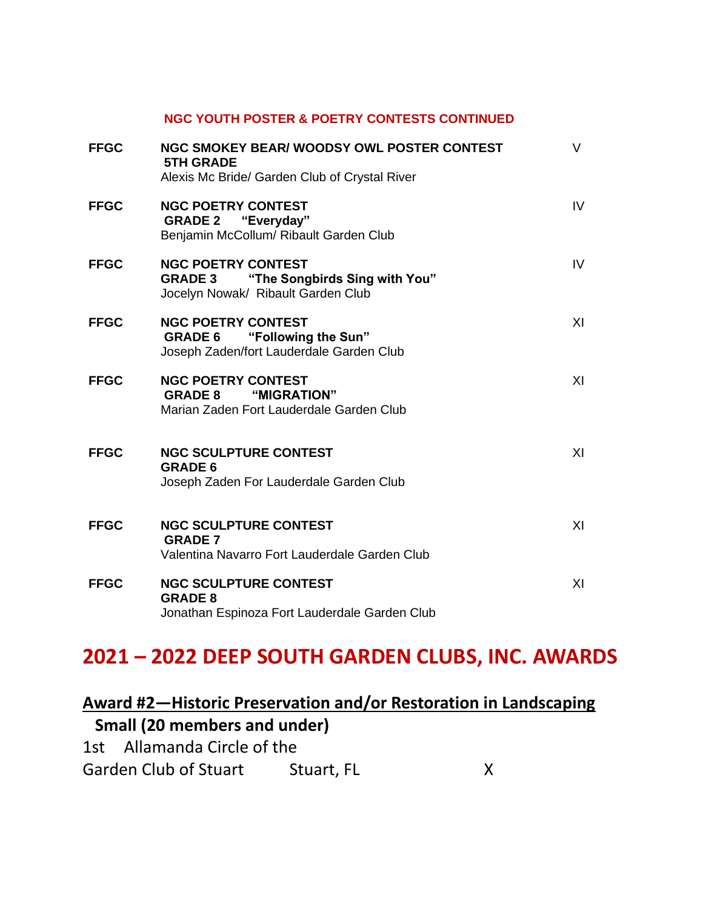#### **NGC YOUTH POSTER & POETRY CONTESTS CONTINUED**

| <b>FFGC</b> | NGC SMOKEY BEAR/ WOODSY OWL POSTER CONTEST<br><b>5TH GRADE</b><br>Alexis Mc Bride/ Garden Club of Crystal River    | V  |
|-------------|--------------------------------------------------------------------------------------------------------------------|----|
| <b>FFGC</b> | <b>NGC POETRY CONTEST</b><br><b>GRADE 2 "Everyday"</b><br>Benjamin McCollum/ Ribault Garden Club                   | IV |
| <b>FFGC</b> | <b>NGC POETRY CONTEST</b><br><b>GRADE 3</b><br>"The Songbirds Sing with You"<br>Jocelyn Nowak/ Ribault Garden Club | IV |
| <b>FFGC</b> | <b>NGC POETRY CONTEST</b><br><b>GRADE 6</b> "Following the Sun"<br>Joseph Zaden/fort Lauderdale Garden Club        | XI |
| <b>FFGC</b> | <b>NGC POETRY CONTEST</b><br><b>GRADE 8 "MIGRATION"</b><br>Marian Zaden Fort Lauderdale Garden Club                | XI |
| <b>FFGC</b> | <b>NGC SCULPTURE CONTEST</b><br><b>GRADE 6</b><br>Joseph Zaden For Lauderdale Garden Club                          | XI |
| <b>FFGC</b> | <b>NGC SCULPTURE CONTEST</b><br><b>GRADE 7</b><br>Valentina Navarro Fort Lauderdale Garden Club                    | XI |
| <b>FFGC</b> | <b>NGC SCULPTURE CONTEST</b><br><b>GRADE 8</b><br>Jonathan Espinoza Fort Lauderdale Garden Club                    | XI |

# **2021 – 2022 DEEP SOUTH GARDEN CLUBS, INC. AWARDS**

# **Award #2—Historic Preservation and/or Restoration in Landscaping Small (20 members and under)**

| 1st Allamanda Circle of the  |            |  |
|------------------------------|------------|--|
| <b>Garden Club of Stuart</b> | Stuart, FL |  |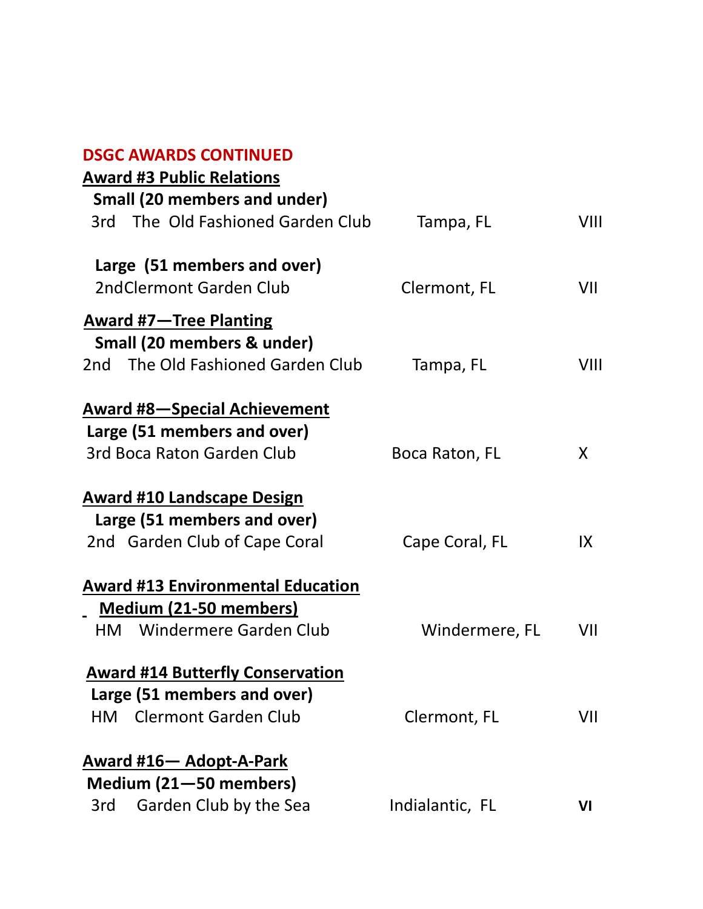| <b>Award #3 Public Relations</b>                       |                 |      |
|--------------------------------------------------------|-----------------|------|
| <b>Small (20 members and under)</b>                    |                 |      |
| 3rd The Old Fashioned Garden Club                      | Tampa, FL       | VIII |
|                                                        |                 |      |
| Large (51 members and over)<br>2ndClermont Garden Club |                 | VII  |
|                                                        | Clermont, FL    |      |
| <b>Award #7-Tree Planting</b>                          |                 |      |
| Small (20 members & under)                             |                 |      |
| 2nd The Old Fashioned Garden Club                      | Tampa, FL       | VIII |
| <b>Award #8-Special Achievement</b>                    |                 |      |
| Large (51 members and over)                            |                 |      |
| 3rd Boca Raton Garden Club                             | Boca Raton, FL  | X    |
| <b>Award #10 Landscape Design</b>                      |                 |      |
| Large (51 members and over)                            |                 |      |
| 2nd Garden Club of Cape Coral                          | Cape Coral, FL  | IX   |
| <b>Award #13 Environmental Education</b>               |                 |      |
| <b>Medium (21-50 members)</b>                          |                 |      |
| <b>HM</b> Windermere Garden Club                       | Windermere, FL  | VII  |
| <b>Award #14 Butterfly Conservation</b>                |                 |      |
| Large (51 members and over)                            |                 |      |
| HM Clermont Garden Club                                | Clermont, FL    | VII  |
| <b>Award #16- Adopt-A-Park</b>                         |                 |      |
| Medium (21-50 members)                                 |                 |      |
| Garden Club by the Sea<br>3rd                          | Indialantic, FL | VI   |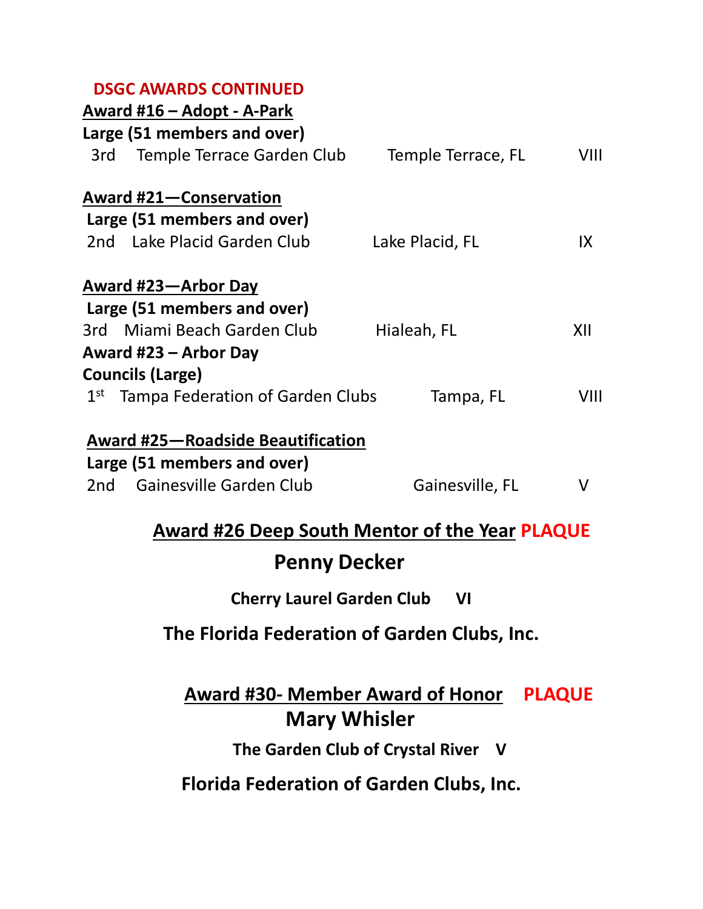|              | Award #16 – Adopt - A-Park               |                    |      |
|--------------|------------------------------------------|--------------------|------|
|              | Large (51 members and over)              |                    |      |
| 3rd          | Temple Terrace Garden Club               | Temple Terrace, FL | VIII |
|              | <b>Award #21-Conservation</b>            |                    |      |
|              | Large (51 members and over)              |                    |      |
|              | 2nd Lake Placid Garden Club              | Lake Placid, FL    | IX   |
|              | Award #23-Arbor Day                      |                    |      |
|              | Large (51 members and over)              |                    |      |
|              | 3rd Miami Beach Garden Club              | Hialeah, FL        | XII  |
|              | Award #23 – Arbor Day                    |                    |      |
|              | <b>Councils (Large)</b>                  |                    |      |
| $1^{\rm st}$ | Tampa Federation of Garden Clubs         | Tampa, FL          | VIII |
|              | <b>Award #25-Roadside Beautification</b> |                    |      |
|              | Large (51 members and over)              |                    |      |
| 2nd -        | Gainesville Garden Club                  | Gainesville, FL    | V    |

# **Award #26 Deep South Mentor of the Year PLAQUE**

# **Penny Decker**

# **Cherry Laurel Garden Club VI**

# **The Florida Federation of Garden Clubs, Inc.**

# **Award #30- Member Award of Honor PLAQUE Mary Whisler**

 **The Garden Club of Crystal River V**

**Florida Federation of Garden Clubs, Inc.**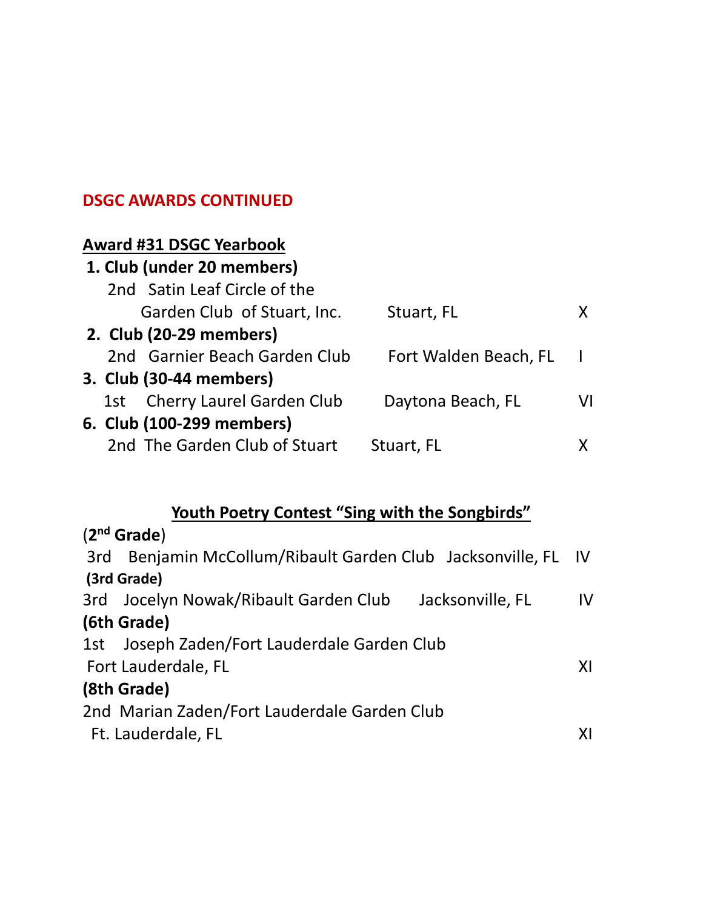## **Award #31 DSGC Yearbook**

|  | 1. Club (under 20 members)    |                       |    |
|--|-------------------------------|-----------------------|----|
|  | 2nd Satin Leaf Circle of the  |                       |    |
|  | Garden Club of Stuart, Inc.   | Stuart, FL            |    |
|  | 2. Club (20-29 members)       |                       |    |
|  | 2nd Garnier Beach Garden Club | Fort Walden Beach, FL |    |
|  | 3. Club (30-44 members)       |                       |    |
|  | 1st Cherry Laurel Garden Club | Daytona Beach, FL     | VI |
|  | 6. Club (100-299 members)     |                       |    |
|  | 2nd The Garden Club of Stuart | Stuart, FL            |    |

# **Youth Poetry Contest "Sing with the Songbirds"**

| (2 <sup>nd</sup> Grade)                                          |    |
|------------------------------------------------------------------|----|
| Benjamin McCollum/Ribault Garden Club Jacksonville, FL IV<br>3rd |    |
| (3rd Grade)                                                      |    |
| 3rd Jocelyn Nowak/Ribault Garden Club<br>Jacksonville, FL        | IV |
| (6th Grade)                                                      |    |
| 1st Joseph Zaden/Fort Lauderdale Garden Club                     |    |
| Fort Lauderdale, FL                                              | XI |
| (8th Grade)                                                      |    |
| 2nd Marian Zaden/Fort Lauderdale Garden Club                     |    |
| Ft. Lauderdale, FL                                               | ΧI |
|                                                                  |    |